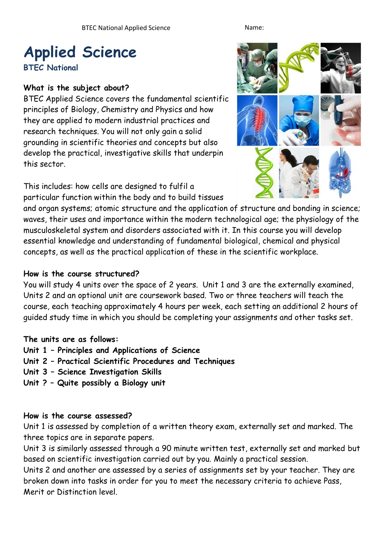# **Applied Science**

**BTEC National** 

# **What is the subject about?**

BTEC Applied Science covers the fundamental scientific principles of Biology, Chemistry and Physics and how they are applied to modern industrial practices and research techniques. You will not only gain a solid grounding in scientific theories and concepts but also develop the practical, investigative skills that underpin this sector.

This includes: how cells are designed to fulfil a particular function within the body and to build tissues



and organ systems; atomic structure and the application of structure and bonding in science; waves, their uses and importance within the modern technological age; the physiology of the musculoskeletal system and disorders associated with it. In this course you will develop essential knowledge and understanding of fundamental biological, chemical and physical concepts, as well as the practical application of these in the scientific workplace.

#### **How is the course structured?**

You will study 4 units over the space of 2 years. Unit 1 and 3 are the externally examined, Units 2 and an optional unit are coursework based. Two or three teachers will teach the course, each teaching approximately 4 hours per week, each setting an additional 2 hours of guided study time in which you should be completing your assignments and other tasks set.

#### **The units are as follows:**

- **Unit 1 – Principles and Applications of Science**
- **Unit 2 – Practical Scientific Procedures and Techniques**
- **Unit 3 – Science Investigation Skills**
- **Unit ? – Quite possibly a Biology unit**

#### **How is the course assessed?**

Unit 1 is assessed by completion of a written theory exam, externally set and marked. The three topics are in separate papers.

Unit 3 is similarly assessed through a 90 minute written test, externally set and marked but based on scientific investigation carried out by you. Mainly a practical session.

Units 2 and another are assessed by a series of assignments set by your teacher. They are broken down into tasks in order for you to meet the necessary criteria to achieve Pass, Merit or Distinction level.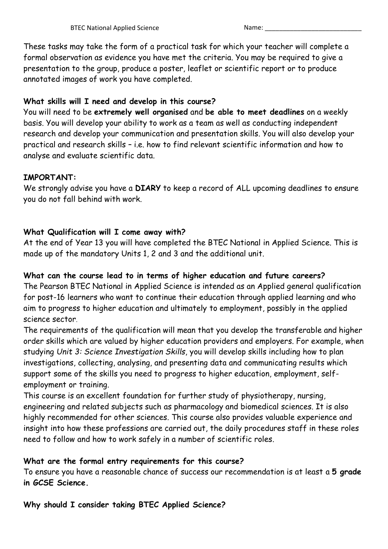These tasks may take the form of a practical task for which your teacher will complete a formal observation as evidence you have met the criteria. You may be required to give a presentation to the group, produce a poster, leaflet or scientific report or to produce annotated images of work you have completed.

# **What skills will I need and develop in this course?**

You will need to be **extremely well organised** and **be able to meet deadlines** on a weekly basis. You will develop your ability to work as a team as well as conducting independent research and develop your communication and presentation skills. You will also develop your practical and research skills – i.e. how to find relevant scientific information and how to analyse and evaluate scientific data.

# **IMPORTANT:**

We strongly advise you have a **DIARY** to keep a record of ALL upcoming deadlines to ensure you do not fall behind with work.

# **What Qualification will I come away with?**

At the end of Year 13 you will have completed the BTEC National in Applied Science. This is made up of the mandatory Units 1, 2 and 3 and the additional unit.

# **What can the course lead to in terms of higher education and future careers?**

The Pearson BTEC National in Applied Science is intended as an Applied general qualification for post-16 learners who want to continue their education through applied learning and who aim to progress to higher education and ultimately to employment, possibly in the applied science sector.

The requirements of the qualification will mean that you develop the transferable and higher order skills which are valued by higher education providers and employers. For example, when studying *Unit 3: Science Investigation Skills*, you will develop skills including how to plan investigations, collecting, analysing, and presenting data and communicating results which support some of the skills you need to progress to higher education, employment, selfemployment or training.

This course is an excellent foundation for further study of physiotherapy, nursing, engineering and related subjects such as pharmacology and biomedical sciences. It is also highly recommended for other sciences. This course also provides valuable experience and insight into how these professions are carried out, the daily procedures staff in these roles need to follow and how to work safely in a number of scientific roles.

# **What are the formal entry requirements for this course?**

To ensure you have a reasonable chance of success our recommendation is at least a **5 grade in GCSE Science.**

**Why should I consider taking BTEC Applied Science?**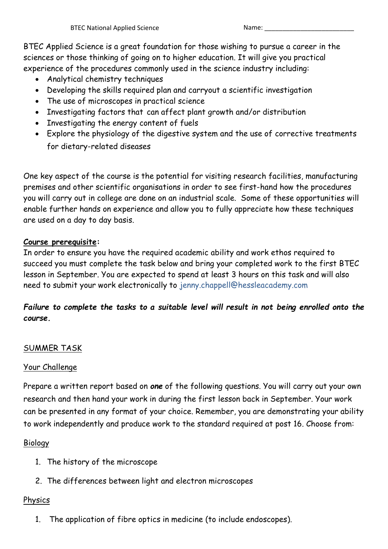BTEC Applied Science is a great foundation for those wishing to pursue a career in the sciences or those thinking of going on to higher education. It will give you practical experience of the procedures commonly used in the science industry including:

- Analytical chemistry techniques
- Developing the skills required plan and carryout a scientific investigation
- The use of microscopes in practical science
- Investigating factors that can affect plant growth and/or distribution
- Investigating the energy content of fuels
- Explore the physiology of the digestive system and the use of corrective treatments for dietary-related diseases

One key aspect of the course is the potential for visiting research facilities, manufacturing premises and other scientific organisations in order to see first-hand how the procedures you will carry out in college are done on an industrial scale. Some of these opportunities will enable further hands on experience and allow you to fully appreciate how these techniques are used on a day to day basis.

#### **Course prerequisite:**

In order to ensure you have the required academic ability and work ethos required to succeed you must complete the task below and bring your completed work to the first BTEC lesson in September. You are expected to spend at least 3 hours on this task and will also need to submit your work electronically to jenny.chappell@hessleacademy.com

# *Failure to complete the tasks to a suitable level will result in not being enrolled onto the course.*

# SUMMER TASK

# Your Challenge

Prepare a written report based on *one* of the following questions. You will carry out your own research and then hand your work in during the first lesson back in September. Your work can be presented in any format of your choice. Remember, you are demonstrating your ability to work independently and produce work to the standard required at post 16. Choose from:

# Biology

- 1. The history of the microscope
- 2. The differences between light and electron microscopes

# **Physics**

1. The application of fibre optics in medicine (to include endoscopes).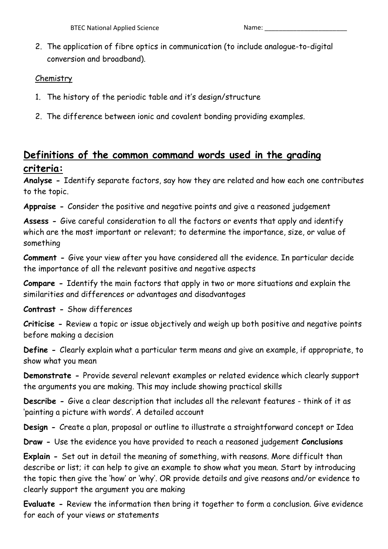2. The application of fibre optics in communication (to include analogue-to-digital conversion and broadband).

### **Chemistry**

- 1. The history of the periodic table and it's design/structure
- 2. The difference between ionic and covalent bonding providing examples.

# **Definitions of the common command words used in the grading criteria:**

**Analyse -** Identify separate factors, say how they are related and how each one contributes to the topic.

**Appraise -** Consider the positive and negative points and give a reasoned judgement

**Assess -** Give careful consideration to all the factors or events that apply and identify which are the most important or relevant; to determine the importance, size, or value of something

**Comment -** Give your view after you have considered all the evidence. In particular decide the importance of all the relevant positive and negative aspects

**Compare -** Identify the main factors that apply in two or more situations and explain the similarities and differences or advantages and disadvantages

**Contrast -** Show differences

**Criticise -** Review a topic or issue objectively and weigh up both positive and negative points before making a decision

**Define -** Clearly explain what a particular term means and give an example, if appropriate, to show what you mean

**Demonstrate -** Provide several relevant examples or related evidence which clearly support the arguments you are making. This may include showing practical skills

**Describe -** Give a clear description that includes all the relevant features - think of it as 'painting a picture with words'. A detailed account

**Design -** Create a plan, proposal or outline to illustrate a straightforward concept or Idea

**Draw -** Use the evidence you have provided to reach a reasoned judgement **Conclusions** 

**Explain -** Set out in detail the meaning of something, with reasons. More difficult than describe or list; it can help to give an example to show what you mean. Start by introducing the topic then give the 'how' or 'why'. OR provide details and give reasons and/or evidence to clearly support the argument you are making

**Evaluate -** Review the information then bring it together to form a conclusion. Give evidence for each of your views or statements